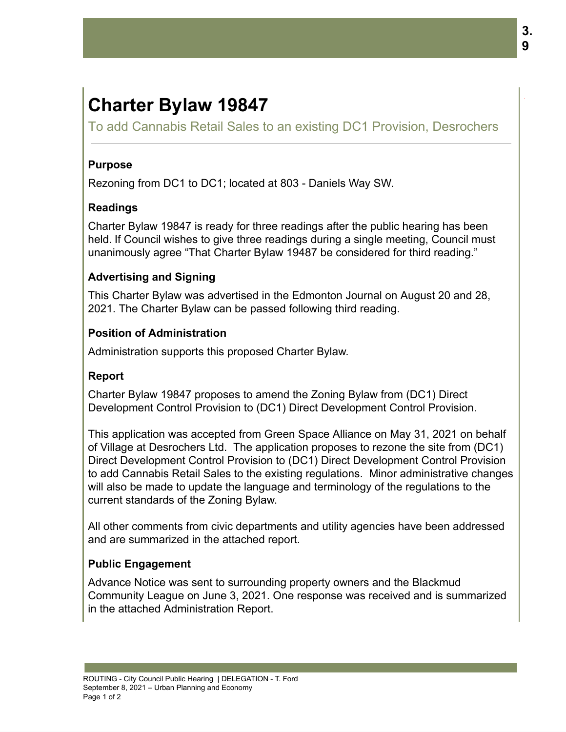# **Charter Bylaw 19847**

To add Cannabis Retail Sales to an existing DC1 Provision, Desrochers

## **Purpose**

Rezoning from DC1 to DC1; located at 803 - Daniels Way SW.

## **Readings**

Charter Bylaw 19847 is ready for three readings after the public hearing has been held. If Council wishes to give three readings during a single meeting, Council must unanimously agree "That Charter Bylaw 19487 be considered for third reading."

## **Advertising and Signing**

This Charter Bylaw was advertised in the Edmonton Journal on August 20 and 28, 2021. The Charter Bylaw can be passed following third reading.

#### **Position of Administration**

Administration supports this proposed Charter Bylaw.

## **Report**

Charter Bylaw 19847 proposes to amend the Zoning Bylaw from (DC1) Direct Development Control Provision to (DC1) Direct Development Control Provision.

This application was accepted from Green Space Alliance on May 31, 2021 on behalf of Village at Desrochers Ltd. The application proposes to rezone the site from (DC1) Direct Development Control Provision to (DC1) Direct Development Control Provision to add Cannabis Retail Sales to the existing regulations. Minor administrative changes will also be made to update the language and terminology of the regulations to the current standards of the Zoning Bylaw.

All other comments from civic departments and utility agencies have been addressed and are summarized in the attached report.

## **Public Engagement**

Advance Notice was sent to surrounding property owners and the Blackmud Community League on June 3, 2021. One response was received and is summarized in the attached Administration Report.

.